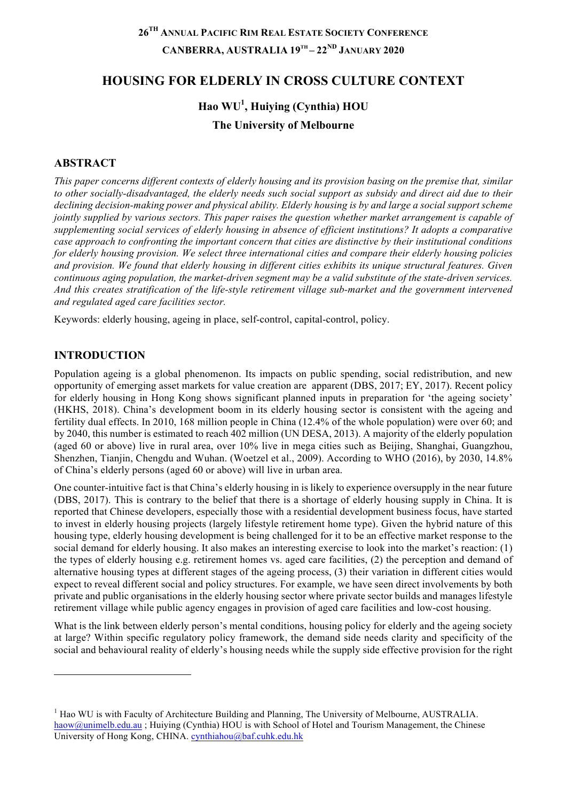# **26TH ANNUAL PACIFIC RIM REAL ESTATE SOCIETY CONFERENCE CANBERRA, AUSTRALIA 19TH – 22ND JANUARY 2020**

## **HOUSING FOR ELDERLY IN CROSS CULTURE CONTEXT**

# **Hao WU1 , Huiying (Cynthia) HOU The University of Melbourne**

#### **ABSTRACT**

*This paper concerns different contexts of elderly housing and its provision basing on the premise that, similar to other socially-disadvantaged, the elderly needs such social support as subsidy and direct aid due to their declining decision-making power and physical ability. Elderly housing is by and large a social support scheme jointly supplied by various sectors. This paper raises the question whether market arrangement is capable of supplementing social services of elderly housing in absence of efficient institutions? It adopts a comparative case approach to confronting the important concern that cities are distinctive by their institutional conditions for elderly housing provision. We select three international cities and compare their elderly housing policies and provision. We found that elderly housing in different cities exhibits its unique structural features. Given continuous aging population, the market-driven segment may be a valid substitute of the state-driven services. And this creates stratification of the life-style retirement village sub-market and the government intervened and regulated aged care facilities sector.* 

Keywords: elderly housing, ageing in place, self-control, capital-control, policy.

#### **INTRODUCTION**

l

Population ageing is a global phenomenon. Its impacts on public spending, social redistribution, and new opportunity of emerging asset markets for value creation are apparent (DBS, 2017; EY, 2017). Recent policy for elderly housing in Hong Kong shows significant planned inputs in preparation for 'the ageing society' (HKHS, 2018). China's development boom in its elderly housing sector is consistent with the ageing and fertility dual effects. In 2010, 168 million people in China (12.4% of the whole population) were over 60; and by 2040, this number is estimated to reach 402 million (UN DESA, 2013). A majority of the elderly population (aged 60 or above) live in rural area, over 10% live in mega cities such as Beijing, Shanghai, Guangzhou, Shenzhen, Tianjin, Chengdu and Wuhan. (Woetzel et al., 2009). According to WHO (2016), by 2030, 14.8% of China's elderly persons (aged 60 or above) will live in urban area.

One counter-intuitive fact is that China's elderly housing in is likely to experience oversupply in the near future (DBS, 2017). This is contrary to the belief that there is a shortage of elderly housing supply in China. It is reported that Chinese developers, especially those with a residential development business focus, have started to invest in elderly housing projects (largely lifestyle retirement home type). Given the hybrid nature of this housing type, elderly housing development is being challenged for it to be an effective market response to the social demand for elderly housing. It also makes an interesting exercise to look into the market's reaction: (1) the types of elderly housing e.g. retirement homes vs. aged care facilities, (2) the perception and demand of alternative housing types at different stages of the ageing process, (3) their variation in different cities would expect to reveal different social and policy structures. For example, we have seen direct involvements by both private and public organisations in the elderly housing sector where private sector builds and manages lifestyle retirement village while public agency engages in provision of aged care facilities and low-cost housing.

What is the link between elderly person's mental conditions, housing policy for elderly and the ageing society at large? Within specific regulatory policy framework, the demand side needs clarity and specificity of the social and behavioural reality of elderly's housing needs while the supply side effective provision for the right

 $<sup>1</sup>$  Hao WU is with Faculty of Architecture Building and Planning, The University of Melbourne, AUSTRALIA.</sup> haow@unimelb.edu.au ; Huiying (Cynthia) HOU is with School of Hotel and Tourism Management, the Chinese University of Hong Kong, CHINA. cynthiahou@baf.cuhk.edu.hk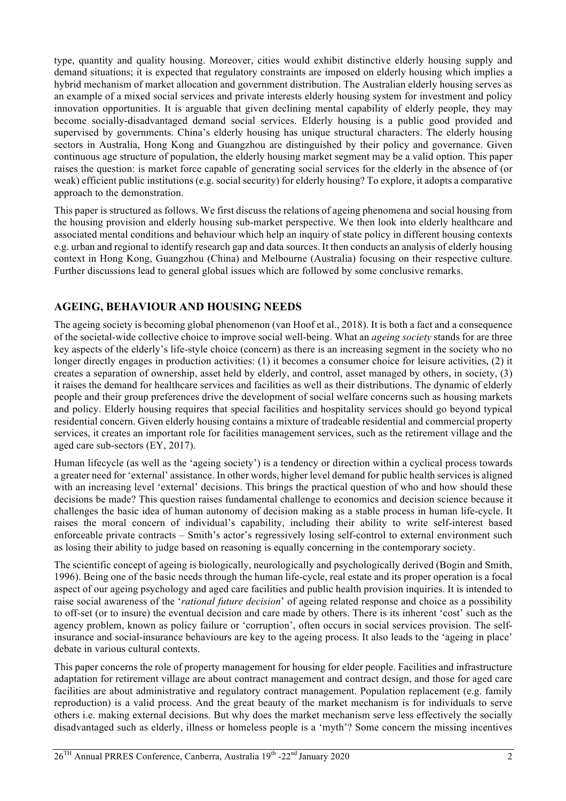type, quantity and quality housing. Moreover, cities would exhibit distinctive elderly housing supply and demand situations; it is expected that regulatory constraints are imposed on elderly housing which implies a hybrid mechanism of market allocation and government distribution. The Australian elderly housing serves as an example of a mixed social services and private interests elderly housing system for investment and policy innovation opportunities. It is arguable that given declining mental capability of elderly people, they may become socially-disadvantaged demand social services. Elderly housing is a public good provided and supervised by governments. China's elderly housing has unique structural characters. The elderly housing sectors in Australia, Hong Kong and Guangzhou are distinguished by their policy and governance. Given continuous age structure of population, the elderly housing market segment may be a valid option. This paper raises the question: is market force capable of generating social services for the elderly in the absence of (or weak) efficient public institutions (e.g. social security) for elderly housing? To explore, it adopts a comparative approach to the demonstration.

This paper is structured as follows. We first discuss the relations of ageing phenomena and social housing from the housing provision and elderly housing sub-market perspective. We then look into elderly healthcare and associated mental conditions and behaviour which help an inquiry of state policy in different housing contexts e.g. urban and regional to identify research gap and data sources. It then conducts an analysis of elderly housing context in Hong Kong, Guangzhou (China) and Melbourne (Australia) focusing on their respective culture. Further discussions lead to general global issues which are followed by some conclusive remarks.

## **AGEING, BEHAVIOUR AND HOUSING NEEDS**

The ageing society is becoming global phenomenon (van Hoof et al., 2018). It is both a fact and a consequence of the societal-wide collective choice to improve social well-being. What an *ageing society* stands for are three key aspects of the elderly's life-style choice (concern) as there is an increasing segment in the society who no longer directly engages in production activities: (1) it becomes a consumer choice for leisure activities, (2) it creates a separation of ownership, asset held by elderly, and control, asset managed by others, in society, (3) it raises the demand for healthcare services and facilities as well as their distributions. The dynamic of elderly people and their group preferences drive the development of social welfare concerns such as housing markets and policy. Elderly housing requires that special facilities and hospitality services should go beyond typical residential concern. Given elderly housing contains a mixture of tradeable residential and commercial property services, it creates an important role for facilities management services, such as the retirement village and the aged care sub-sectors (EY, 2017).

Human lifecycle (as well as the 'ageing society') is a tendency or direction within a cyclical process towards a greater need for 'external' assistance. In other words, higher level demand for public health services is aligned with an increasing level 'external' decisions. This brings the practical question of who and how should these decisions be made? This question raises fundamental challenge to economics and decision science because it challenges the basic idea of human autonomy of decision making as a stable process in human life-cycle. It raises the moral concern of individual's capability, including their ability to write self-interest based enforceable private contracts – Smith's actor's regressively losing self-control to external environment such as losing their ability to judge based on reasoning is equally concerning in the contemporary society.

The scientific concept of ageing is biologically, neurologically and psychologically derived (Bogin and Smith, 1996). Being one of the basic needs through the human life-cycle, real estate and its proper operation is a focal aspect of our ageing psychology and aged care facilities and public health provision inquiries. It is intended to raise social awareness of the '*rational future decision*' of ageing related response and choice as a possibility to off-set (or to insure) the eventual decision and care made by others. There is its inherent 'cost' such as the agency problem, known as policy failure or 'corruption', often occurs in social services provision. The selfinsurance and social-insurance behaviours are key to the ageing process. It also leads to the 'ageing in place' debate in various cultural contexts.

This paper concerns the role of property management for housing for elder people. Facilities and infrastructure adaptation for retirement village are about contract management and contract design, and those for aged care facilities are about administrative and regulatory contract management. Population replacement (e.g. family reproduction) is a valid process. And the great beauty of the market mechanism is for individuals to serve others i.e. making external decisions. But why does the market mechanism serve less effectively the socially disadvantaged such as elderly, illness or homeless people is a 'myth'? Some concern the missing incentives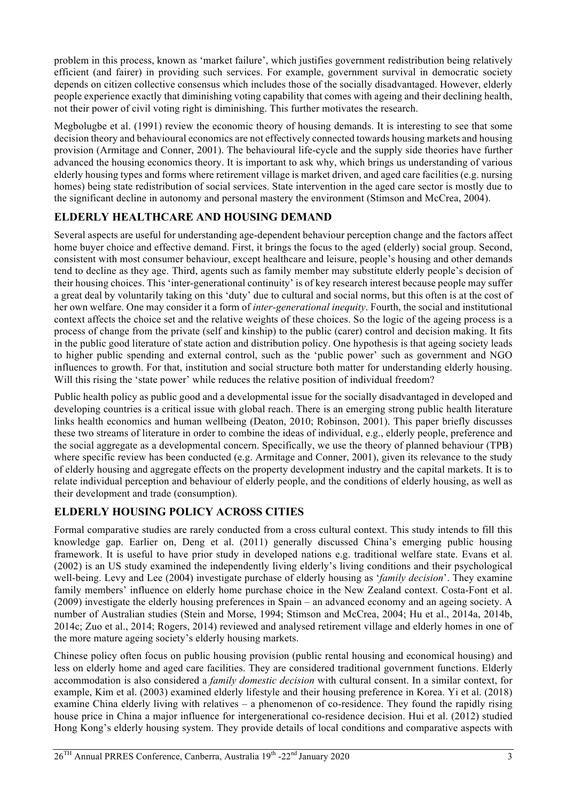problem in this process, known as 'market failure', which justifies government redistribution being relatively efficient (and fairer) in providing such services. For example, government survival in democratic society depends on citizen collective consensus which includes those of the socially disadvantaged. However, elderly people experience exactly that diminishing voting capability that comes with ageing and their declining health, not their power of civil voting right is diminishing. This further motivates the research.

Megbolugbe et al. (1991) review the economic theory of housing demands. It is interesting to see that some decision theory and behavioural economics are not effectively connected towards housing markets and housing provision (Armitage and Conner, 2001). The behavioural life-cycle and the supply side theories have further advanced the housing economics theory. It is important to ask why, which brings us understanding of various elderly housing types and forms where retirement village is market driven, and aged care facilities (e.g. nursing homes) being state redistribution of social services. State intervention in the aged care sector is mostly due to the significant decline in autonomy and personal mastery the environment (Stimson and McCrea, 2004).

## **ELDERLY HEALTHCARE AND HOUSING DEMAND**

Several aspects are useful for understanding age-dependent behaviour perception change and the factors affect home buyer choice and effective demand. First, it brings the focus to the aged (elderly) social group. Second, consistent with most consumer behaviour, except healthcare and leisure, people's housing and other demands tend to decline as they age. Third, agents such as family member may substitute elderly people's decision of their housing choices. This 'inter-generational continuity' is of key research interest because people may suffer a great deal by voluntarily taking on this 'duty' due to cultural and social norms, but this often is at the cost of her own welfare. One may consider it a form of *inter-generational inequity*. Fourth, the social and institutional context affects the choice set and the relative weights of these choices. So the logic of the ageing process is a process of change from the private (self and kinship) to the public (carer) control and decision making. It fits in the public good literature of state action and distribution policy. One hypothesis is that ageing society leads to higher public spending and external control, such as the 'public power' such as government and NGO influences to growth. For that, institution and social structure both matter for understanding elderly housing. Will this rising the 'state power' while reduces the relative position of individual freedom?

Public health policy as public good and a developmental issue for the socially disadvantaged in developed and developing countries is a critical issue with global reach. There is an emerging strong public health literature links health economics and human wellbeing (Deaton, 2010; Robinson, 2001). This paper briefly discusses these two streams of literature in order to combine the ideas of individual, e.g., elderly people, preference and the social aggregate as a developmental concern. Specifically, we use the theory of planned behaviour (TPB) where specific review has been conducted (e.g. Armitage and Conner, 2001), given its relevance to the study of elderly housing and aggregate effects on the property development industry and the capital markets. It is to relate individual perception and behaviour of elderly people, and the conditions of elderly housing, as well as their development and trade (consumption).

# **ELDERLY HOUSING POLICY ACROSS CITIES**

Formal comparative studies are rarely conducted from a cross cultural context. This study intends to fill this knowledge gap. Earlier on, Deng et al. (2011) generally discussed China's emerging public housing framework. It is useful to have prior study in developed nations e.g. traditional welfare state. Evans et al. (2002) is an US study examined the independently living elderly's living conditions and their psychological well-being. Levy and Lee (2004) investigate purchase of elderly housing as '*family decision*'. They examine family members' influence on elderly home purchase choice in the New Zealand context. Costa-Font et al. (2009) investigate the elderly housing preferences in Spain – an advanced economy and an ageing society. A number of Australian studies (Stein and Morse, 1994; Stimson and McCrea, 2004; Hu et al., 2014a, 2014b, 2014c; Zuo et al., 2014; Rogers, 2014) reviewed and analysed retirement village and elderly homes in one of the more mature ageing society's elderly housing markets.

Chinese policy often focus on public housing provision (public rental housing and economical housing) and less on elderly home and aged care facilities. They are considered traditional government functions. Elderly accommodation is also considered a *family domestic decision* with cultural consent. In a similar context, for example, Kim et al. (2003) examined elderly lifestyle and their housing preference in Korea. Yi et al. (2018) examine China elderly living with relatives – a phenomenon of co-residence. They found the rapidly rising house price in China a major influence for intergenerational co-residence decision. Hui et al. (2012) studied Hong Kong's elderly housing system. They provide details of local conditions and comparative aspects with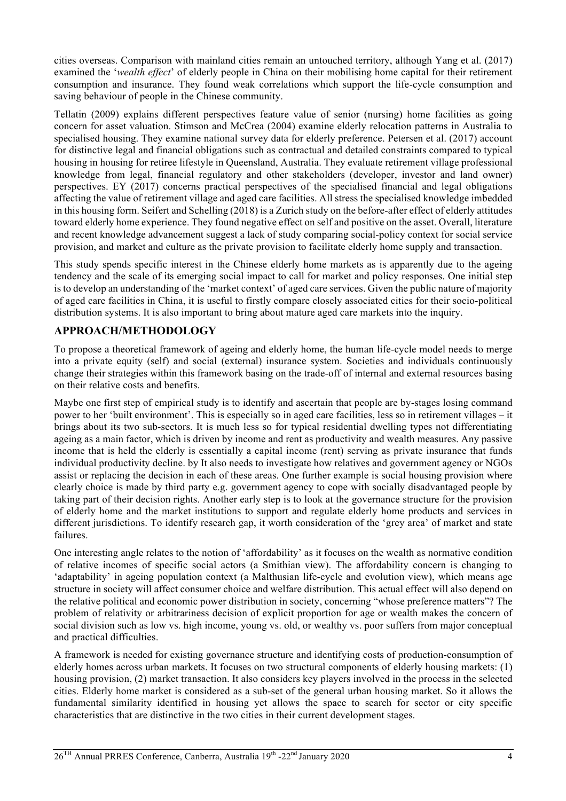cities overseas. Comparison with mainland cities remain an untouched territory, although Yang et al. (2017) examined the '*wealth effect*' of elderly people in China on their mobilising home capital for their retirement consumption and insurance. They found weak correlations which support the life-cycle consumption and saving behaviour of people in the Chinese community.

Tellatin (2009) explains different perspectives feature value of senior (nursing) home facilities as going concern for asset valuation. Stimson and McCrea (2004) examine elderly relocation patterns in Australia to specialised housing. They examine national survey data for elderly preference. Petersen et al. (2017) account for distinctive legal and financial obligations such as contractual and detailed constraints compared to typical housing in housing for retiree lifestyle in Queensland, Australia. They evaluate retirement village professional knowledge from legal, financial regulatory and other stakeholders (developer, investor and land owner) perspectives. EY (2017) concerns practical perspectives of the specialised financial and legal obligations affecting the value of retirement village and aged care facilities. All stress the specialised knowledge imbedded in this housing form. Seifert and Schelling (2018) is a Zurich study on the before-after effect of elderly attitudes toward elderly home experience. They found negative effect on self and positive on the asset. Overall, literature and recent knowledge advancement suggest a lack of study comparing social-policy context for social service provision, and market and culture as the private provision to facilitate elderly home supply and transaction.

This study spends specific interest in the Chinese elderly home markets as is apparently due to the ageing tendency and the scale of its emerging social impact to call for market and policy responses. One initial step is to develop an understanding of the 'market context' of aged care services. Given the public nature of majority of aged care facilities in China, it is useful to firstly compare closely associated cities for their socio-political distribution systems. It is also important to bring about mature aged care markets into the inquiry.

## **APPROACH/METHODOLOGY**

To propose a theoretical framework of ageing and elderly home, the human life-cycle model needs to merge into a private equity (self) and social (external) insurance system. Societies and individuals continuously change their strategies within this framework basing on the trade-off of internal and external resources basing on their relative costs and benefits.

Maybe one first step of empirical study is to identify and ascertain that people are by-stages losing command power to her 'built environment'. This is especially so in aged care facilities, less so in retirement villages – it brings about its two sub-sectors. It is much less so for typical residential dwelling types not differentiating ageing as a main factor, which is driven by income and rent as productivity and wealth measures. Any passive income that is held the elderly is essentially a capital income (rent) serving as private insurance that funds individual productivity decline. by It also needs to investigate how relatives and government agency or NGOs assist or replacing the decision in each of these areas. One further example is social housing provision where clearly choice is made by third party e.g. government agency to cope with socially disadvantaged people by taking part of their decision rights. Another early step is to look at the governance structure for the provision of elderly home and the market institutions to support and regulate elderly home products and services in different jurisdictions. To identify research gap, it worth consideration of the 'grey area' of market and state failures.

One interesting angle relates to the notion of 'affordability' as it focuses on the wealth as normative condition of relative incomes of specific social actors (a Smithian view). The affordability concern is changing to 'adaptability' in ageing population context (a Malthusian life-cycle and evolution view), which means age structure in society will affect consumer choice and welfare distribution. This actual effect will also depend on the relative political and economic power distribution in society, concerning "whose preference matters"? The problem of relativity or arbitrariness decision of explicit proportion for age or wealth makes the concern of social division such as low vs. high income, young vs. old, or wealthy vs. poor suffers from major conceptual and practical difficulties.

A framework is needed for existing governance structure and identifying costs of production-consumption of elderly homes across urban markets. It focuses on two structural components of elderly housing markets: (1) housing provision, (2) market transaction. It also considers key players involved in the process in the selected cities. Elderly home market is considered as a sub-set of the general urban housing market. So it allows the fundamental similarity identified in housing yet allows the space to search for sector or city specific characteristics that are distinctive in the two cities in their current development stages.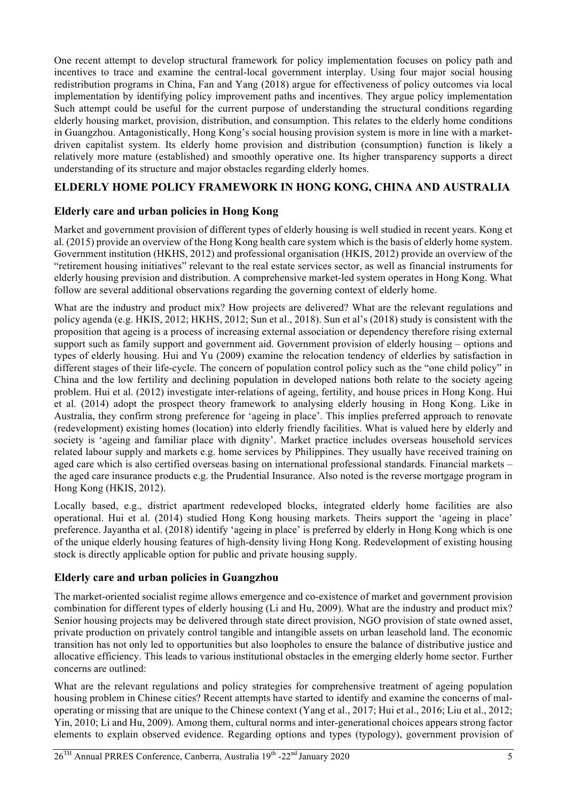One recent attempt to develop structural framework for policy implementation focuses on policy path and incentives to trace and examine the central-local government interplay. Using four major social housing redistribution programs in China, Fan and Yang (2018) argue for effectiveness of policy outcomes via local implementation by identifying policy improvement paths and incentives. They argue policy implementation Such attempt could be useful for the current purpose of understanding the structural conditions regarding elderly housing market, provision, distribution, and consumption. This relates to the elderly home conditions in Guangzhou. Antagonistically, Hong Kong's social housing provision system is more in line with a marketdriven capitalist system. Its elderly home provision and distribution (consumption) function is likely a relatively more mature (established) and smoothly operative one. Its higher transparency supports a direct understanding of its structure and major obstacles regarding elderly homes.

### **ELDERLY HOME POLICY FRAMEWORK IN HONG KONG, CHINA AND AUSTRALIA**

### **Elderly care and urban policies in Hong Kong**

Market and government provision of different types of elderly housing is well studied in recent years. Kong et al. (2015) provide an overview of the Hong Kong health care system which is the basis of elderly home system. Government institution (HKHS, 2012) and professional organisation (HKIS, 2012) provide an overview of the "retirement housing initiatives" relevant to the real estate services sector, as well as financial instruments for elderly housing prevision and distribution. A comprehensive market-led system operates in Hong Kong. What follow are several additional observations regarding the governing context of elderly home.

What are the industry and product mix? How projects are delivered? What are the relevant regulations and policy agenda (e.g. HKIS, 2012; HKHS, 2012; Sun et al., 2018). Sun et al's (2018) study is consistent with the proposition that ageing is a process of increasing external association or dependency therefore rising external support such as family support and government aid. Government provision of elderly housing – options and types of elderly housing. Hui and Yu (2009) examine the relocation tendency of elderlies by satisfaction in different stages of their life-cycle. The concern of population control policy such as the "one child policy" in China and the low fertility and declining population in developed nations both relate to the society ageing problem. Hui et al. (2012) investigate inter-relations of ageing, fertility, and house prices in Hong Kong. Hui et al. (2014) adopt the prospect theory framework to analysing elderly housing in Hong Kong. Like in Australia, they confirm strong preference for 'ageing in place'. This implies preferred approach to renovate (redevelopment) existing homes (location) into elderly friendly facilities. What is valued here by elderly and society is 'ageing and familiar place with dignity'. Market practice includes overseas household services related labour supply and markets e.g. home services by Philippines. They usually have received training on aged care which is also certified overseas basing on international professional standards. Financial markets – the aged care insurance products e.g. the Prudential Insurance. Also noted is the reverse mortgage program in Hong Kong (HKIS, 2012).

Locally based, e.g., district apartment redeveloped blocks, integrated elderly home facilities are also operational. Hui et al. (2014) studied Hong Kong housing markets. Theirs support the 'ageing in place' preference. Jayantha et al. (2018) identify 'ageing in place' is preferred by elderly in Hong Kong which is one of the unique elderly housing features of high-density living Hong Kong. Redevelopment of existing housing stock is directly applicable option for public and private housing supply.

#### **Elderly care and urban policies in Guangzhou**

The market-oriented socialist regime allows emergence and co-existence of market and government provision combination for different types of elderly housing (Li and Hu, 2009). What are the industry and product mix? Senior housing projects may be delivered through state direct provision, NGO provision of state owned asset, private production on privately control tangible and intangible assets on urban leasehold land. The economic transition has not only led to opportunities but also loopholes to ensure the balance of distributive justice and allocative efficiency. This leads to various institutional obstacles in the emerging elderly home sector. Further concerns are outlined:

What are the relevant regulations and policy strategies for comprehensive treatment of ageing population housing problem in Chinese cities? Recent attempts have started to identify and examine the concerns of maloperating or missing that are unique to the Chinese context (Yang et al., 2017; Hui et al., 2016; Liu et al., 2012; Yin, 2010; Li and Hu, 2009). Among them, cultural norms and inter-generational choices appears strong factor elements to explain observed evidence. Regarding options and types (typology), government provision of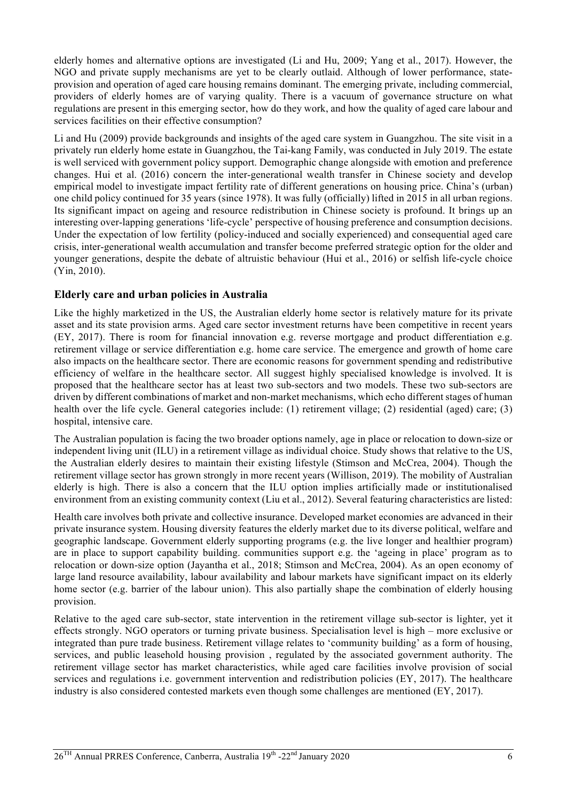elderly homes and alternative options are investigated (Li and Hu, 2009; Yang et al., 2017). However, the NGO and private supply mechanisms are yet to be clearly outlaid. Although of lower performance, stateprovision and operation of aged care housing remains dominant. The emerging private, including commercial, providers of elderly homes are of varying quality. There is a vacuum of governance structure on what regulations are present in this emerging sector, how do they work, and how the quality of aged care labour and services facilities on their effective consumption?

Li and Hu (2009) provide backgrounds and insights of the aged care system in Guangzhou. The site visit in a privately run elderly home estate in Guangzhou, the Tai-kang Family, was conducted in July 2019. The estate is well serviced with government policy support. Demographic change alongside with emotion and preference changes. Hui et al. (2016) concern the inter-generational wealth transfer in Chinese society and develop empirical model to investigate impact fertility rate of different generations on housing price. China's (urban) one child policy continued for 35 years (since 1978). It was fully (officially) lifted in 2015 in all urban regions. Its significant impact on ageing and resource redistribution in Chinese society is profound. It brings up an interesting over-lapping generations 'life-cycle' perspective of housing preference and consumption decisions. Under the expectation of low fertility (policy-induced and socially experienced) and consequential aged care crisis, inter-generational wealth accumulation and transfer become preferred strategic option for the older and younger generations, despite the debate of altruistic behaviour (Hui et al., 2016) or selfish life-cycle choice (Yin, 2010).

### **Elderly care and urban policies in Australia**

Like the highly marketized in the US, the Australian elderly home sector is relatively mature for its private asset and its state provision arms. Aged care sector investment returns have been competitive in recent years (EY, 2017). There is room for financial innovation e.g. reverse mortgage and product differentiation e.g. retirement village or service differentiation e.g. home care service. The emergence and growth of home care also impacts on the healthcare sector. There are economic reasons for government spending and redistributive efficiency of welfare in the healthcare sector. All suggest highly specialised knowledge is involved. It is proposed that the healthcare sector has at least two sub-sectors and two models. These two sub-sectors are driven by different combinations of market and non-market mechanisms, which echo different stages of human health over the life cycle. General categories include: (1) retirement village; (2) residential (aged) care; (3) hospital, intensive care.

The Australian population is facing the two broader options namely, age in place or relocation to down-size or independent living unit (ILU) in a retirement village as individual choice. Study shows that relative to the US, the Australian elderly desires to maintain their existing lifestyle (Stimson and McCrea, 2004). Though the retirement village sector has grown strongly in more recent years (Willison, 2019). The mobility of Australian elderly is high. There is also a concern that the ILU option implies artificially made or institutionalised environment from an existing community context (Liu et al., 2012). Several featuring characteristics are listed:

Health care involves both private and collective insurance. Developed market economies are advanced in their private insurance system. Housing diversity features the elderly market due to its diverse political, welfare and geographic landscape. Government elderly supporting programs (e.g. the live longer and healthier program) are in place to support capability building. communities support e.g. the 'ageing in place' program as to relocation or down-size option (Jayantha et al., 2018; Stimson and McCrea, 2004). As an open economy of large land resource availability, labour availability and labour markets have significant impact on its elderly home sector (e.g. barrier of the labour union). This also partially shape the combination of elderly housing provision.

Relative to the aged care sub-sector, state intervention in the retirement village sub-sector is lighter, yet it effects strongly. NGO operators or turning private business. Specialisation level is high – more exclusive or integrated than pure trade business. Retirement village relates to 'community building' as a form of housing, services, and public leasehold housing provision , regulated by the associated government authority. The retirement village sector has market characteristics, while aged care facilities involve provision of social services and regulations i.e. government intervention and redistribution policies (EY, 2017). The healthcare industry is also considered contested markets even though some challenges are mentioned (EY, 2017).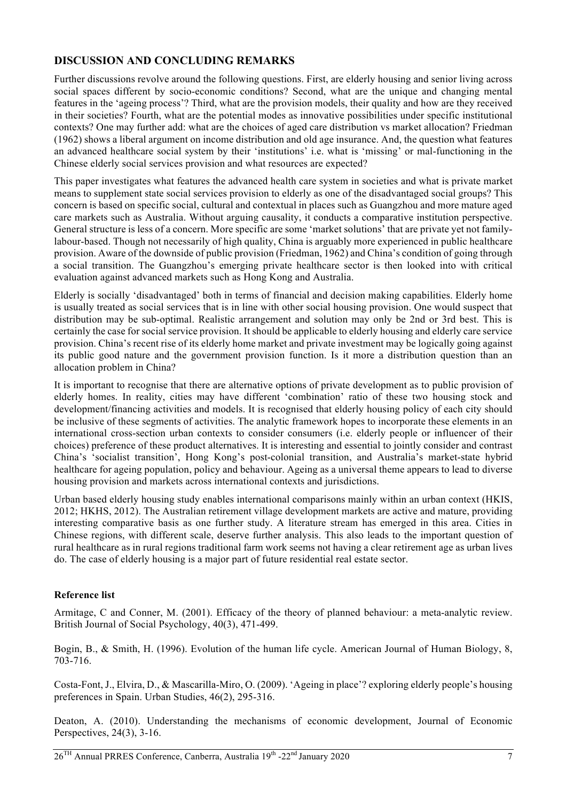#### **DISCUSSION AND CONCLUDING REMARKS**

Further discussions revolve around the following questions. First, are elderly housing and senior living across social spaces different by socio-economic conditions? Second, what are the unique and changing mental features in the 'ageing process'? Third, what are the provision models, their quality and how are they received in their societies? Fourth, what are the potential modes as innovative possibilities under specific institutional contexts? One may further add: what are the choices of aged care distribution vs market allocation? Friedman (1962) shows a liberal argument on income distribution and old age insurance. And, the question what features an advanced healthcare social system by their 'institutions' i.e. what is 'missing' or mal-functioning in the Chinese elderly social services provision and what resources are expected?

This paper investigates what features the advanced health care system in societies and what is private market means to supplement state social services provision to elderly as one of the disadvantaged social groups? This concern is based on specific social, cultural and contextual in places such as Guangzhou and more mature aged care markets such as Australia. Without arguing causality, it conducts a comparative institution perspective. General structure is less of a concern. More specific are some 'market solutions' that are private yet not familylabour-based. Though not necessarily of high quality, China is arguably more experienced in public healthcare provision. Aware of the downside of public provision (Friedman, 1962) and China's condition of going through a social transition. The Guangzhou's emerging private healthcare sector is then looked into with critical evaluation against advanced markets such as Hong Kong and Australia.

Elderly is socially 'disadvantaged' both in terms of financial and decision making capabilities. Elderly home is usually treated as social services that is in line with other social housing provision. One would suspect that distribution may be sub-optimal. Realistic arrangement and solution may only be 2nd or 3rd best. This is certainly the case for social service provision. It should be applicable to elderly housing and elderly care service provision. China's recent rise of its elderly home market and private investment may be logically going against its public good nature and the government provision function. Is it more a distribution question than an allocation problem in China?

It is important to recognise that there are alternative options of private development as to public provision of elderly homes. In reality, cities may have different 'combination' ratio of these two housing stock and development/financing activities and models. It is recognised that elderly housing policy of each city should be inclusive of these segments of activities. The analytic framework hopes to incorporate these elements in an international cross-section urban contexts to consider consumers (i.e. elderly people or influencer of their choices) preference of these product alternatives. It is interesting and essential to jointly consider and contrast China's 'socialist transition', Hong Kong's post-colonial transition, and Australia's market-state hybrid healthcare for ageing population, policy and behaviour. Ageing as a universal theme appears to lead to diverse housing provision and markets across international contexts and jurisdictions.

Urban based elderly housing study enables international comparisons mainly within an urban context (HKIS, 2012; HKHS, 2012). The Australian retirement village development markets are active and mature, providing interesting comparative basis as one further study. A literature stream has emerged in this area. Cities in Chinese regions, with different scale, deserve further analysis. This also leads to the important question of rural healthcare as in rural regions traditional farm work seems not having a clear retirement age as urban lives do. The case of elderly housing is a major part of future residential real estate sector.

#### **Reference list**

Armitage, C and Conner, M. (2001). Efficacy of the theory of planned behaviour: a meta-analytic review. British Journal of Social Psychology, 40(3), 471-499.

Bogin, B., & Smith, H. (1996). Evolution of the human life cycle. American Journal of Human Biology, 8, 703-716.

Costa-Font, J., Elvira, D., & Mascarilla-Miro, O. (2009). 'Ageing in place'? exploring elderly people's housing preferences in Spain. Urban Studies, 46(2), 295-316.

Deaton, A. (2010). Understanding the mechanisms of economic development, Journal of Economic Perspectives, 24(3), 3-16.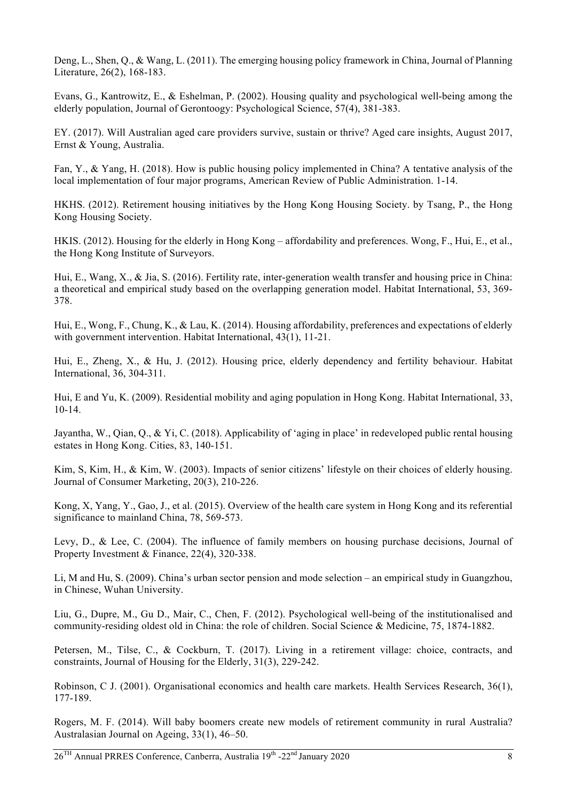Deng, L., Shen, Q., & Wang, L. (2011). The emerging housing policy framework in China, Journal of Planning Literature, 26(2), 168-183.

Evans, G., Kantrowitz, E., & Eshelman, P. (2002). Housing quality and psychological well-being among the elderly population, Journal of Gerontoogy: Psychological Science, 57(4), 381-383.

EY. (2017). Will Australian aged care providers survive, sustain or thrive? Aged care insights, August 2017, Ernst & Young, Australia.

Fan, Y., & Yang, H. (2018). How is public housing policy implemented in China? A tentative analysis of the local implementation of four major programs, American Review of Public Administration. 1-14.

HKHS. (2012). Retirement housing initiatives by the Hong Kong Housing Society. by Tsang, P., the Hong Kong Housing Society.

HKIS. (2012). Housing for the elderly in Hong Kong – affordability and preferences. Wong, F., Hui, E., et al., the Hong Kong Institute of Surveyors.

Hui, E., Wang, X., & Jia, S. (2016). Fertility rate, inter-generation wealth transfer and housing price in China: a theoretical and empirical study based on the overlapping generation model. Habitat International, 53, 369- 378.

Hui, E., Wong, F., Chung, K., & Lau, K. (2014). Housing affordability, preferences and expectations of elderly with government intervention. Habitat International, 43(1), 11-21.

Hui, E., Zheng, X., & Hu, J. (2012). Housing price, elderly dependency and fertility behaviour. Habitat International, 36, 304-311.

Hui, E and Yu, K. (2009). Residential mobility and aging population in Hong Kong. Habitat International, 33, 10-14.

Jayantha, W., Qian, Q., & Yi, C. (2018). Applicability of 'aging in place' in redeveloped public rental housing estates in Hong Kong. Cities, 83, 140-151.

Kim, S, Kim, H., & Kim, W. (2003). Impacts of senior citizens' lifestyle on their choices of elderly housing. Journal of Consumer Marketing, 20(3), 210-226.

Kong, X, Yang, Y., Gao, J., et al. (2015). Overview of the health care system in Hong Kong and its referential significance to mainland China, 78, 569-573.

Levy, D., & Lee, C. (2004). The influence of family members on housing purchase decisions, Journal of Property Investment & Finance, 22(4), 320-338.

Li, M and Hu, S. (2009). China's urban sector pension and mode selection – an empirical study in Guangzhou, in Chinese, Wuhan University.

Liu, G., Dupre, M., Gu D., Mair, C., Chen, F. (2012). Psychological well-being of the institutionalised and community-residing oldest old in China: the role of children. Social Science & Medicine, 75, 1874-1882.

Petersen, M., Tilse, C., & Cockburn, T. (2017). Living in a retirement village: choice, contracts, and constraints, Journal of Housing for the Elderly, 31(3), 229-242.

Robinson, C J. (2001). Organisational economics and health care markets. Health Services Research, 36(1), 177-189.

Rogers, M. F. (2014). Will baby boomers create new models of retirement community in rural Australia? Australasian Journal on Ageing, 33(1), 46–50.

 $26<sup>TH</sup>$  Annual PRRES Conference, Canberra, Australia  $19<sup>th</sup>$  -22<sup>nd</sup> January 2020